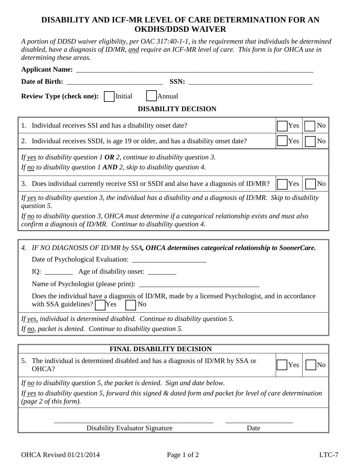## **DISABILITY AND ICF-MR LEVEL OF CARE DETERMINATION FOR AN OKDHS/DDSD WAIVER**

*A portion of DDSD waiver eligibility, per OAC 317:40-1-1, is the requirement that individuals be determined disabled, have a diagnosis of ID/MR, and require an ICF-MR level of care. This form is for OHCA use in determining these areas.* 

| SSN:                                                                                                                                                                                                                                                                                                              |                       |
|-------------------------------------------------------------------------------------------------------------------------------------------------------------------------------------------------------------------------------------------------------------------------------------------------------------------|-----------------------|
| <b>Review Type (check one):</b><br>Initial<br>Annual                                                                                                                                                                                                                                                              |                       |
| <b>DISABILITY DECISION</b>                                                                                                                                                                                                                                                                                        |                       |
| 1. Individual receives SSI and has a disability onset date?                                                                                                                                                                                                                                                       | N <sub>o</sub><br>Yes |
| 2. Individual receives SSDI, is age 19 or older, and has a disability onset date?                                                                                                                                                                                                                                 | Yes<br>No             |
| If yes to disability question 1 OR 2, continue to disability question 3.<br>If no to disability question 1 AND 2, skip to disability question 4.                                                                                                                                                                  |                       |
| 3. Does individual currently receive SSI or SSDI and also have a diagnosis of ID/MR?                                                                                                                                                                                                                              | Yes<br>N <sub>o</sub> |
| If yes to disability question 3, the individual has a disability and a diagnosis of ID/MR. Skip to disability<br>question 5.<br>If no to disability question 3, OHCA must determine if a categorical relationship exists and must also<br>confirm a diagnosis of ID/MR. Continue to disability question 4.        |                       |
|                                                                                                                                                                                                                                                                                                                   |                       |
| 4. IF NO DIAGNOSIS OF ID/MR by SSA, OHCA determines categorical relationship to SoonerCare.<br>IQ: ____________ Age of disability onset: ___________<br>Does the individual have a diagnosis of ID/MR, made by a licensed Psychologist, and in accordance<br>with SSA guidelines?<br><b>Yes</b><br>N <sub>o</sub> |                       |
| If yes, individual is determined disabled. Continue to disability question 5.                                                                                                                                                                                                                                     |                       |
| If no, packet is denied. Continue to disability question 5.                                                                                                                                                                                                                                                       |                       |
|                                                                                                                                                                                                                                                                                                                   |                       |
| <b>FINAL DISABILITY DECISION</b>                                                                                                                                                                                                                                                                                  |                       |
| The individual is determined disabled and has a diagnosis of ID/MR by SSA or<br>5.<br>OHCA?                                                                                                                                                                                                                       | Yes<br>No             |

*If no to disability question 5, the packet is denied. Sign and date below.* 

*If yes to disability question 5, forward this signed & dated form and packet for level of care determination (page 2 of this form).* 

> \_\_\_\_\_\_\_\_\_\_\_\_\_\_\_\_\_\_\_\_\_\_\_\_\_\_\_\_\_\_\_\_\_\_\_\_\_\_\_\_\_\_\_\_\_ \_\_\_\_\_\_\_\_\_\_\_\_\_\_\_\_\_\_\_ Disability Evaluator Signature Date